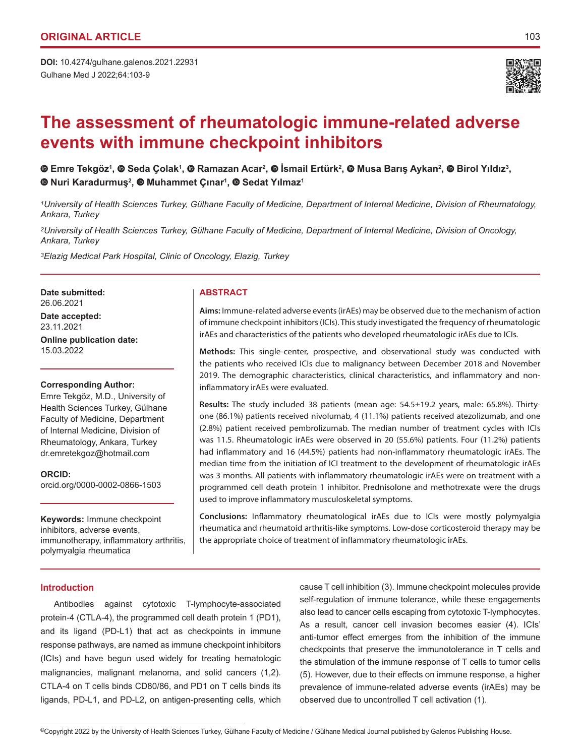Gulhane Med J 2022;64:103-9 **DOI:** 10.4274/gulhane.galenos.2021.22931



# **The assessment of rheumatologic immune-related adverse events with immune checkpoint inhibitors**

EmreTekgöz<sup>1</sup>, © Seda Çolak<sup>1</sup>, © Ramazan Acar<sup>2</sup>, © Ismail Ertürk<sup>2</sup>, © Musa Barış Aykan<sup>2</sup>, © Birol Yıldız<sup>3</sup>, **Nuri Karadurmuş<sup>2</sup> , Muhammet Çınar<sup>1</sup> ,Sedat Yılmaz<sup>1</sup>**

*1University of Health Sciences Turkey, Gülhane Faculty of Medicine, Department of Internal Medicine, Division of Rheumatology, Ankara, Turkey*

*2University of Health Sciences Turkey, Gülhane Faculty of Medicine, Department of Internal Medicine, Division of Oncology, Ankara, Turkey*

*3Elazig Medical Park Hospital, Clinic of Oncology, Elazig, Turkey*

**Date submitted:** 26.06.2021 **Date accepted:** 23.11.2021 **Online publication date:** 15.03.2022

#### **Corresponding Author:**

Emre Tekgöz, M.D., University of Health Sciences Turkey, Gülhane Faculty of Medicine, Department of Internal Medicine, Division of Rheumatology, Ankara, Turkey dr.emretekgoz@hotmail.com

**ORCID:** 

orcid.org/0000-0002-0866-1503

**Keywords:** Immune checkpoint inhibitors, adverse events, immunotherapy, inflammatory arthritis, polymyalgia rheumatica

#### **Introduction**

**ABSTRACT**

**Aims:** Immune-related adverse events (irAEs) may be observed due to the mechanism of action of immune checkpoint inhibitors (ICIs). This study investigated the frequency of rheumatologic irAEs and characteristics of the patients who developed rheumatologic irAEs due to ICIs.

**Methods:** This single-center, prospective, and observational study was conducted with the patients who received ICIs due to malignancy between December 2018 and November 2019. The demographic characteristics, clinical characteristics, and inflammatory and noninflammatory irAEs were evaluated.

**Results:** The study included 38 patients (mean age: 54.5±19.2 years, male: 65.8%). Thirtyone (86.1%) patients received nivolumab, 4 (11.1%) patients received atezolizumab, and one (2.8%) patient received pembrolizumab. The median number of treatment cycles with ICIs was 11.5. Rheumatologic irAEs were observed in 20 (55.6%) patients. Four (11.2%) patients had inflammatory and 16 (44.5%) patients had non-inflammatory rheumatologic irAEs. The median time from the initiation of ICI treatment to the development of rheumatologic irAEs was 3 months. All patients with inflammatory rheumatologic irAEs were on treatment with a programmed cell death protein 1 inhibitor. Prednisolone and methotrexate were the drugs used to improve inflammatory musculoskeletal symptoms.

**Conclusions:** Inflammatory rheumatological irAEs due to ICIs were mostly polymyalgia rheumatica and rheumatoid arthritis-like symptoms. Low-dose corticosteroid therapy may be the appropriate choice of treatment of inflammatory rheumatologic irAEs.

Antibodies against cytotoxic T-lymphocyte-associated protein-4 (CTLA-4), the programmed cell death protein 1 (PD1), and its ligand (PD-L1) that act as checkpoints in immune response pathways, are named as immune checkpoint inhibitors (ICIs) and have begun used widely for treating hematologic malignancies, malignant melanoma, and solid cancers (1,2). CTLA-4 on T cells binds CD80/86, and PD1 on T cells binds its ligands, PD-L1, and PD-L2, on antigen-presenting cells, which cause T cell inhibition (3). Immune checkpoint molecules provide self-regulation of immune tolerance, while these engagements also lead to cancer cells escaping from cytotoxic T-lymphocytes. As a result, cancer cell invasion becomes easier (4). ICIs' anti-tumor effect emerges from the inhibition of the immune checkpoints that preserve the immunotolerance in T cells and the stimulation of the immune response of T cells to tumor cells (5). However, due to their effects on immune response, a higher prevalence of immune-related adverse events (irAEs) may be observed due to uncontrolled T cell activation (1).

<sup>©</sup>Copyright 2022 by the University of Health Sciences Turkey, Gülhane Faculty of Medicine / Gülhane Medical Journal published by Galenos Publishing House.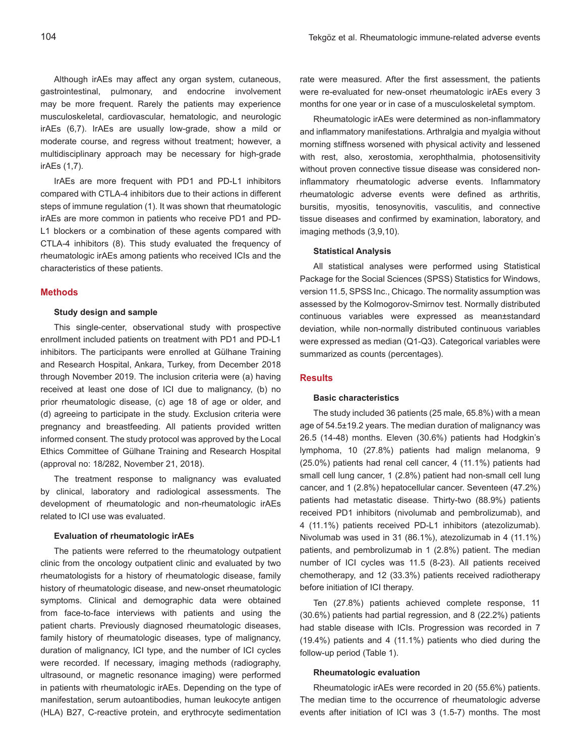Although irAEs may affect any organ system, cutaneous, gastrointestinal, pulmonary, and endocrine involvement may be more frequent. Rarely the patients may experience musculoskeletal, cardiovascular, hematologic, and neurologic irAEs (6,7). IrAEs are usually low-grade, show a mild or moderate course, and regress without treatment; however, a multidisciplinary approach may be necessary for high-grade irAEs (1,7).

IrAEs are more frequent with PD1 and PD-L1 inhibitors compared with CTLA-4 inhibitors due to their actions in different steps of immune regulation (1). It was shown that rheumatologic irAEs are more common in patients who receive PD1 and PD-L1 blockers or a combination of these agents compared with CTLA-4 inhibitors (8). This study evaluated the frequency of rheumatologic irAEs among patients who received ICIs and the characteristics of these patients.

#### **Methods**

#### **Study design and sample**

This single-center, observational study with prospective enrollment included patients on treatment with PD1 and PD-L1 inhibitors. The participants were enrolled at Gülhane Training and Research Hospital, Ankara, Turkey, from December 2018 through November 2019. The inclusion criteria were (a) having received at least one dose of ICI due to malignancy, (b) no prior rheumatologic disease, (c) age 18 of age or older, and (d) agreeing to participate in the study. Exclusion criteria were pregnancy and breastfeeding. All patients provided written informed consent. The study protocol was approved by the Local Ethics Committee of Gülhane Training and Research Hospital (approval no: 18/282, November 21, 2018).

The treatment response to malignancy was evaluated by clinical, laboratory and radiological assessments. The development of rheumatologic and non-rheumatologic irAEs related to ICI use was evaluated.

#### **Evaluation of rheumatologic irAEs**

The patients were referred to the rheumatology outpatient clinic from the oncology outpatient clinic and evaluated by two rheumatologists for a history of rheumatologic disease, family history of rheumatologic disease, and new-onset rheumatologic symptoms. Clinical and demographic data were obtained from face-to-face interviews with patients and using the patient charts. Previously diagnosed rheumatologic diseases, family history of rheumatologic diseases, type of malignancy, duration of malignancy, ICI type, and the number of ICI cycles were recorded. If necessary, imaging methods (radiography, ultrasound, or magnetic resonance imaging) were performed in patients with rheumatologic irAEs. Depending on the type of manifestation, serum autoantibodies, human leukocyte antigen (HLA) B27, C-reactive protein, and erythrocyte sedimentation

rate were measured. After the first assessment, the patients were re-evaluated for new-onset rheumatologic irAEs every 3 months for one year or in case of a musculoskeletal symptom.

Rheumatologic irAEs were determined as non-inflammatory and inflammatory manifestations. Arthralgia and myalgia without morning stiffness worsened with physical activity and lessened with rest, also, xerostomia, xerophthalmia, photosensitivity without proven connective tissue disease was considered noninflammatory rheumatologic adverse events. Inflammatory rheumatologic adverse events were defined as arthritis, bursitis, myositis, tenosynovitis, vasculitis, and connective tissue diseases and confirmed by examination, laboratory, and imaging methods (3,9,10).

## **Statistical Analysis**

All statistical analyses were performed using Statistical Package for the Social Sciences (SPSS) Statistics for Windows, version 11.5, SPSS Inc., Chicago. The normality assumption was assessed by the Kolmogorov-Smirnov test. Normally distributed continuous variables were expressed as mean±standard deviation, while non-normally distributed continuous variables were expressed as median (Q1-Q3). Categorical variables were summarized as counts (percentages).

## **Results**

#### **Basic characteristics**

The study included 36 patients (25 male, 65.8%) with a mean age of 54.5±19.2 years. The median duration of malignancy was 26.5 (14-48) months. Eleven (30.6%) patients had Hodgkin's lymphoma, 10 (27.8%) patients had malign melanoma, 9 (25.0%) patients had renal cell cancer, 4 (11.1%) patients had small cell lung cancer, 1 (2.8%) patient had non-small cell lung cancer, and 1 (2.8%) hepatocellular cancer. Seventeen (47.2%) patients had metastatic disease. Thirty-two (88.9%) patients received PD1 inhibitors (nivolumab and pembrolizumab), and 4 (11.1%) patients received PD-L1 inhibitors (atezolizumab). Nivolumab was used in 31 (86.1%), atezolizumab in 4 (11.1%) patients, and pembrolizumab in 1 (2.8%) patient. The median number of ICI cycles was 11.5 (8-23). All patients received chemotherapy, and 12 (33.3%) patients received radiotherapy before initiation of ICI therapy.

Ten (27.8%) patients achieved complete response, 11 (30.6%) patients had partial regression, and 8 (22.2%) patients had stable disease with ICIs. Progression was recorded in 7 (19.4%) patients and 4 (11.1%) patients who died during the follow-up period (Table 1).

#### **Rheumatologic evaluation**

Rheumatologic irAEs were recorded in 20 (55.6%) patients. The median time to the occurrence of rheumatologic adverse events after initiation of ICI was 3 (1.5-7) months. The most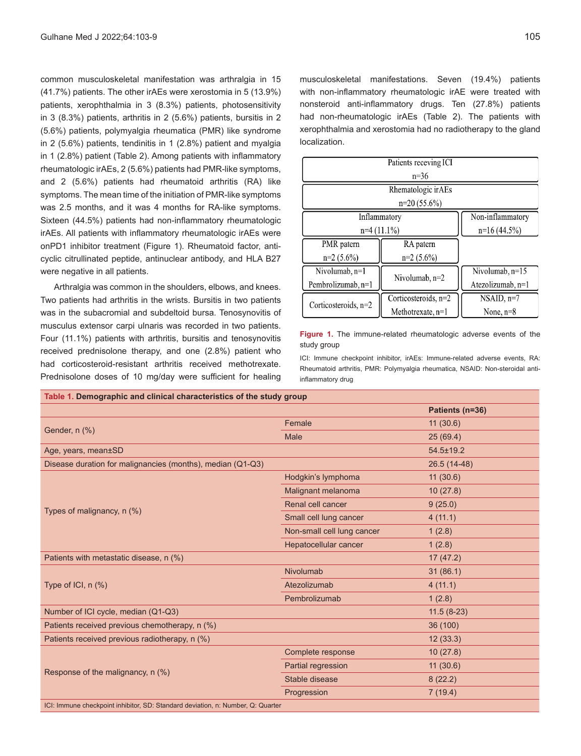common musculoskeletal manifestation was arthralgia in 15 (41.7%) patients. The other irAEs were xerostomia in 5 (13.9%) patients, xerophthalmia in 3 (8.3%) patients, photosensitivity in 3 (8.3%) patients, arthritis in 2 (5.6%) patients, bursitis in 2 (5.6%) patients, polymyalgia rheumatica (PMR) like syndrome in 2 (5.6%) patients, tendinitis in 1 (2.8%) patient and myalgia in 1 (2.8%) patient (Table 2). Among patients with inflammatory rheumatologic irAEs, 2 (5.6%) patients had PMR-like symptoms, and 2 (5.6%) patients had rheumatoid arthritis (RA) like symptoms. The mean time of the initiation of PMR-like symptoms was 2.5 months, and it was 4 months for RA-like symptoms. Sixteen (44.5%) patients had non-inflammatory rheumatologic irAEs. All patients with inflammatory rheumatologic irAEs were onPD1 inhibitor treatment (Figure 1). Rheumatoid factor, anticyclic citrullinated peptide, antinuclear antibody, and HLA B27 were negative in all patients.

Arthralgia was common in the shoulders, elbows, and knees. Two patients had arthritis in the wrists. Bursitis in two patients was in the subacromial and subdeltoid bursa. Tenosynovitis of musculus extensor carpi ulnaris was recorded in two patients. Four (11.1%) patients with arthritis, bursitis and tenosynovitis received prednisolone therapy, and one (2.8%) patient who had corticosteroid-resistant arthritis received methotrexate. Prednisolone doses of 10 mg/day were sufficient for healing musculoskeletal manifestations. Seven (19.4%) patients with non-inflammatory rheumatologic irAE were treated with nonsteroid anti-inflammatory drugs. Ten (27.8%) patients had non-rheumatologic irAEs (Table 2). The patients with xerophthalmia and xerostomia had no radiotherapy to the gland localization.

| Patients receving ICI  |                        |                   |  |  |  |
|------------------------|------------------------|-------------------|--|--|--|
| $n=36$                 |                        |                   |  |  |  |
| Rhematologic irAEs     |                        |                   |  |  |  |
| $n=20(55.6\%)$         |                        |                   |  |  |  |
| Inflammatory           |                        | Non-inflammatory  |  |  |  |
| $n=4(11.1\%)$          |                        | $n=16(44.5%)$     |  |  |  |
| PMR patern             | RA patern              |                   |  |  |  |
| $n=2(5.6\%)$           | $n=2$ (5.6%)           |                   |  |  |  |
| Nivolumab, n=1         | Nivolumab, $n=2$       | Nivolumab, n=15   |  |  |  |
| Pembrolizumab, n=1     |                        | Atezolizumab, n=1 |  |  |  |
| Corticosteroids, $n=2$ | Corticosteroids, $n=2$ | $NSAID, n=7$      |  |  |  |
|                        | Methotrexate, n=1      | None, $n=8$       |  |  |  |

**Figure 1.** The immune-related rheumatologic adverse events of the study group

ICI: Immune checkpoint inhibitor, irAEs: Immune-related adverse events, RA: Rheumatoid arthritis, PMR: Polymyalgia rheumatica, NSAID: Non-steroidal antiinflammatory drug

| Table 1. Demographic and clinical characteristics of the study group            |                            |                 |  |  |
|---------------------------------------------------------------------------------|----------------------------|-----------------|--|--|
|                                                                                 |                            | Patients (n=36) |  |  |
|                                                                                 | Female                     | 11(30.6)        |  |  |
| Gender, n (%)                                                                   | Male                       | 25(69.4)        |  |  |
| Age, years, mean±SD                                                             |                            | $54.5 \pm 19.2$ |  |  |
| Disease duration for malignancies (months), median (Q1-Q3)                      |                            | $26.5(14-48)$   |  |  |
|                                                                                 | Hodgkin's lymphoma         | 11(30.6)        |  |  |
|                                                                                 | Malignant melanoma         | 10(27.8)        |  |  |
| Types of malignancy, n (%)                                                      | Renal cell cancer          | 9(25.0)         |  |  |
|                                                                                 | Small cell lung cancer     | 4(11.1)         |  |  |
|                                                                                 | Non-small cell lung cancer | 1(2.8)          |  |  |
|                                                                                 | Hepatocellular cancer      | 1(2.8)          |  |  |
| Patients with metastatic disease, n (%)                                         |                            | 17(47.2)        |  |  |
|                                                                                 | Nivolumab                  | 31(86.1)        |  |  |
| Type of $ Cl, n (\%)$                                                           | Atezolizumab               | 4(11.1)         |  |  |
|                                                                                 | Pembrolizumab              | 1(2.8)          |  |  |
| Number of ICI cycle, median (Q1-Q3)                                             |                            | $11.5(8-23)$    |  |  |
| Patients received previous chemotherapy, n (%)                                  |                            | 36 (100)        |  |  |
| Patients received previous radiotherapy, n (%)                                  |                            | 12(33.3)        |  |  |
|                                                                                 | Complete response          | 10(27.8)        |  |  |
| Response of the malignancy, n (%)                                               | Partial regression         | 11(30.6)        |  |  |
|                                                                                 | Stable disease             | 8(22.2)         |  |  |
|                                                                                 | Progression                | 7(19.4)         |  |  |
| ICI: Immune checkpoint inhibitor, SD: Standard deviation, n: Number, Q: Quarter |                            |                 |  |  |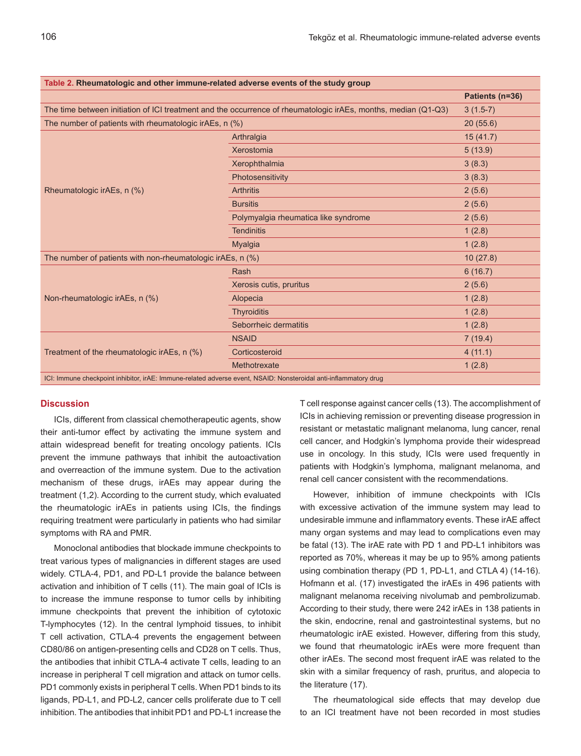| Table 2. Rheumatologic and other immune-related adverse events of the study group                                |                                      |                 |
|------------------------------------------------------------------------------------------------------------------|--------------------------------------|-----------------|
|                                                                                                                  |                                      | Patients (n=36) |
| The time between initiation of ICI treatment and the occurrence of rheumatologic irAEs, months, median (Q1-Q3)   |                                      | $3(1.5-7)$      |
| The number of patients with rheumatologic irAEs, n (%)                                                           |                                      | 20(55.6)        |
| Rheumatologic irAEs, n (%)                                                                                       | Arthralgia                           | 15(41.7)        |
|                                                                                                                  | Xerostomia                           | 5(13.9)         |
|                                                                                                                  | Xerophthalmia                        | 3(8.3)          |
|                                                                                                                  | Photosensitivity                     | 3(8.3)          |
|                                                                                                                  | <b>Arthritis</b>                     | 2(5.6)          |
|                                                                                                                  | <b>Bursitis</b>                      | 2(5.6)          |
|                                                                                                                  | Polymyalgia rheumatica like syndrome | 2(5.6)          |
|                                                                                                                  | <b>Tendinitis</b>                    | 1(2.8)          |
|                                                                                                                  | <b>Myalgia</b>                       | 1(2.8)          |
| The number of patients with non-rheumatologic irAEs, n (%)                                                       |                                      | 10(27.8)        |
|                                                                                                                  | Rash                                 | 6(16.7)         |
|                                                                                                                  | Xerosis cutis, pruritus              | 2(5.6)          |
| Non-rheumatologic irAEs, n (%)                                                                                   | Alopecia                             | 1(2.8)          |
|                                                                                                                  | <b>Thyroiditis</b>                   | 1(2.8)          |
|                                                                                                                  | Seborrheic dermatitis                | 1(2.8)          |
|                                                                                                                  | <b>NSAID</b>                         | 7(19.4)         |
| Treatment of the rheumatologic irAEs, n (%)                                                                      | Corticosteroid                       | 4(11.1)         |
|                                                                                                                  | Methotrexate                         | 1(2.8)          |
| ICI: Immune checkpoint inhibitor, irAE: Immune-related adverse event, NSAID: Nonsteroidal anti-inflammatory drug |                                      |                 |

# **Discussion**

ICIs, different from classical chemotherapeutic agents, show their anti-tumor effect by activating the immune system and attain widespread benefit for treating oncology patients. ICIs prevent the immune pathways that inhibit the autoactivation and overreaction of the immune system. Due to the activation mechanism of these drugs, irAEs may appear during the treatment (1,2). According to the current study, which evaluated the rheumatologic irAEs in patients using ICIs, the findings requiring treatment were particularly in patients who had similar symptoms with RA and PMR.

Monoclonal antibodies that blockade immune checkpoints to treat various types of malignancies in different stages are used widely. CTLA-4, PD1, and PD-L1 provide the balance between activation and inhibition of T cells (11). The main goal of ICIs is to increase the immune response to tumor cells by inhibiting immune checkpoints that prevent the inhibition of cytotoxic T-lymphocytes (12). In the central lymphoid tissues, to inhibit T cell activation, CTLA-4 prevents the engagement between CD80/86 on antigen-presenting cells and CD28 on T cells. Thus, the antibodies that inhibit CTLA-4 activate T cells, leading to an increase in peripheral T cell migration and attack on tumor cells. PD1 commonly exists in peripheral T cells. When PD1 binds to its ligands, PD-L1, and PD-L2, cancer cells proliferate due to T cell inhibition. The antibodies that inhibit PD1 and PD-L1 increase the T cell response against cancer cells (13). The accomplishment of ICIs in achieving remission or preventing disease progression in resistant or metastatic malignant melanoma, lung cancer, renal cell cancer, and Hodgkin's lymphoma provide their widespread use in oncology. In this study, ICIs were used frequently in patients with Hodgkin's lymphoma, malignant melanoma, and renal cell cancer consistent with the recommendations.

However, inhibition of immune checkpoints with ICIs with excessive activation of the immune system may lead to undesirable immune and inflammatory events. These irAE affect many organ systems and may lead to complications even may be fatal (13). The irAE rate with PD 1 and PD-L1 inhibitors was reported as 70%, whereas it may be up to 95% among patients using combination therapy (PD 1, PD-L1, and CTLA 4) (14-16). Hofmann et al. (17) investigated the irAEs in 496 patients with malignant melanoma receiving nivolumab and pembrolizumab. According to their study, there were 242 irAEs in 138 patients in the skin, endocrine, renal and gastrointestinal systems, but no rheumatologic irAE existed. However, differing from this study, we found that rheumatologic irAEs were more frequent than other irAEs. The second most frequent irAE was related to the skin with a similar frequency of rash, pruritus, and alopecia to the literature (17).

The rheumatological side effects that may develop due to an ICI treatment have not been recorded in most studies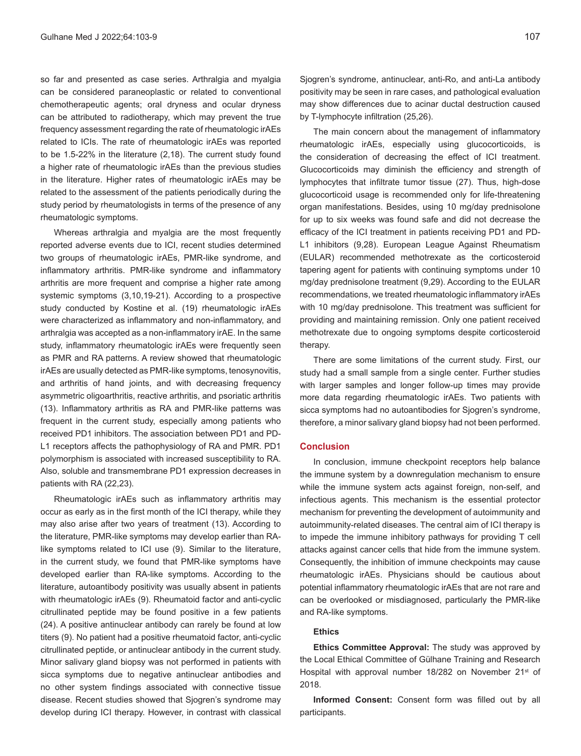so far and presented as case series. Arthralgia and myalgia can be considered paraneoplastic or related to conventional chemotherapeutic agents; oral dryness and ocular dryness can be attributed to radiotherapy, which may prevent the true frequency assessment regarding the rate of rheumatologic irAEs related to ICIs. The rate of rheumatologic irAEs was reported to be 1.5-22% in the literature (2,18). The current study found a higher rate of rheumatologic irAEs than the previous studies in the literature. Higher rates of rheumatologic irAEs may be related to the assessment of the patients periodically during the study period by rheumatologists in terms of the presence of any rheumatologic symptoms.

Whereas arthralgia and myalgia are the most frequently reported adverse events due to ICI, recent studies determined two groups of rheumatologic irAEs, PMR-like syndrome, and inflammatory arthritis. PMR-like syndrome and inflammatory arthritis are more frequent and comprise a higher rate among systemic symptoms (3,10,19-21). According to a prospective study conducted by Kostine et al. (19) rheumatologic irAEs were characterized as inflammatory and non-inflammatory, and arthralgia was accepted as a non-inflammatory irAE. In the same study, inflammatory rheumatologic irAEs were frequently seen as PMR and RA patterns. A review showed that rheumatologic irAEs are usually detected as PMR-like symptoms, tenosynovitis, and arthritis of hand joints, and with decreasing frequency asymmetric oligoarthritis, reactive arthritis, and psoriatic arthritis (13). Inflammatory arthritis as RA and PMR-like patterns was frequent in the current study, especially among patients who received PD1 inhibitors. The association between PD1 and PD-L1 receptors affects the pathophysiology of RA and PMR. PD1 polymorphism is associated with increased susceptibility to RA. Also, soluble and transmembrane PD1 expression decreases in patients with RA (22,23).

Rheumatologic irAEs such as inflammatory arthritis may occur as early as in the first month of the ICI therapy, while they may also arise after two years of treatment (13). According to the literature, PMR-like symptoms may develop earlier than RAlike symptoms related to ICI use (9). Similar to the literature, in the current study, we found that PMR-like symptoms have developed earlier than RA-like symptoms. According to the literature, autoantibody positivity was usually absent in patients with rheumatologic irAEs (9). Rheumatoid factor and anti-cyclic citrullinated peptide may be found positive in a few patients (24). A positive antinuclear antibody can rarely be found at low titers (9). No patient had a positive rheumatoid factor, anti-cyclic citrullinated peptide, or antinuclear antibody in the current study. Minor salivary gland biopsy was not performed in patients with sicca symptoms due to negative antinuclear antibodies and no other system findings associated with connective tissue disease. Recent studies showed that Sjogren's syndrome may develop during ICI therapy. However, in contrast with classical Sjogren's syndrome, antinuclear, anti-Ro, and anti-La antibody positivity may be seen in rare cases, and pathological evaluation may show differences due to acinar ductal destruction caused by T-lymphocyte infiltration (25,26).

The main concern about the management of inflammatory rheumatologic irAEs, especially using glucocorticoids, is the consideration of decreasing the effect of ICI treatment. Glucocorticoids may diminish the efficiency and strength of lymphocytes that infiltrate tumor tissue (27). Thus, high-dose glucocorticoid usage is recommended only for life-threatening organ manifestations. Besides, using 10 mg/day prednisolone for up to six weeks was found safe and did not decrease the efficacy of the ICI treatment in patients receiving PD1 and PD-L1 inhibitors (9,28). European League Against Rheumatism (EULAR) recommended methotrexate as the corticosteroid tapering agent for patients with continuing symptoms under 10 mg/day prednisolone treatment (9,29). According to the EULAR recommendations, we treated rheumatologic inflammatory irAEs with 10 mg/day prednisolone. This treatment was sufficient for providing and maintaining remission. Only one patient received methotrexate due to ongoing symptoms despite corticosteroid therapy.

There are some limitations of the current study. First, our study had a small sample from a single center. Further studies with larger samples and longer follow-up times may provide more data regarding rheumatologic irAEs. Two patients with sicca symptoms had no autoantibodies for Sjogren's syndrome, therefore, a minor salivary gland biopsy had not been performed.

# **Conclusion**

In conclusion, immune checkpoint receptors help balance the immune system by a downregulation mechanism to ensure while the immune system acts against foreign, non-self, and infectious agents. This mechanism is the essential protector mechanism for preventing the development of autoimmunity and autoimmunity-related diseases. The central aim of ICI therapy is to impede the immune inhibitory pathways for providing T cell attacks against cancer cells that hide from the immune system. Consequently, the inhibition of immune checkpoints may cause rheumatologic irAEs. Physicians should be cautious about potential inflammatory rheumatologic irAEs that are not rare and can be overlooked or misdiagnosed, particularly the PMR-like and RA-like symptoms.

# **Ethics**

**Ethics Committee Approval:** The study was approved by the Local Ethical Committee of Gülhane Training and Research Hospital with approval number 18/282 on November 21<sup>st</sup> of 2018.

**Informed Consent:** Consent form was filled out by all participants.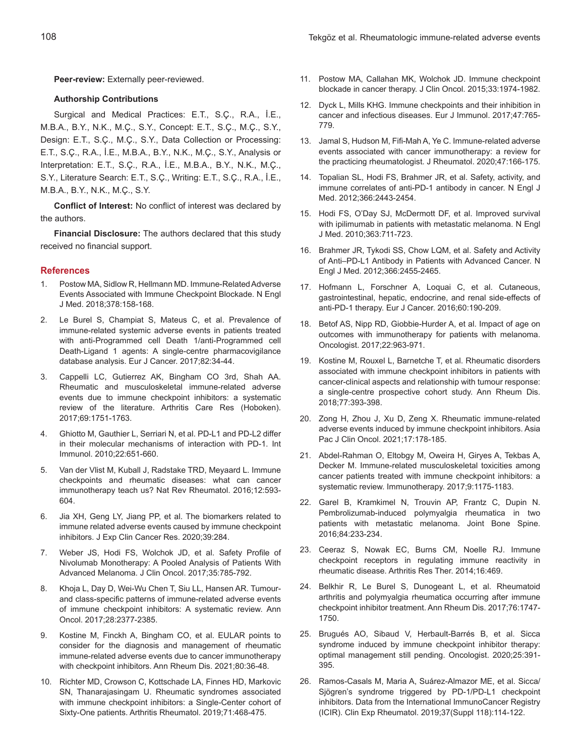**Peer-review:** Externally peer-reviewed.

## **Authorship Contributions**

Surgical and Medical Practices: E.T., S.Ç., R.A., İ.E., M.B.A., B.Y., N.K., M.Ç., S.Y., Concept: E.T., S.Ç., M.Ç., S.Y., Design: E.T., S.Ç., M.Ç., S.Y., Data Collection or Processing: E.T., S.Ç., R.A., İ.E., M.B.A., B.Y., N.K., M.Ç., S.Y., Analysis or Interpretation: E.T., S.Ç., R.A., İ.E., M.B.A., B.Y., N.K., M.Ç., S.Y., Literature Search: E.T., S.Ç., Writing: E.T., S.Ç., R.A., İ.E., M.B.A., B.Y., N.K., M.Ç., S.Y.

**Conflict of Interest:** No conflict of interest was declared by the authors.

**Financial Disclosure:** The authors declared that this study received no financial support.

## **References**

- 1. Postow MA, Sidlow R, Hellmann MD. Immune-Related Adverse Events Associated with Immune Checkpoint Blockade. N Engl J Med. 2018;378:158-168.
- 2. Le Burel S, Champiat S, Mateus C, et al. Prevalence of immune-related systemic adverse events in patients treated with anti-Programmed cell Death 1/anti-Programmed cell Death-Ligand 1 agents: A single-centre pharmacovigilance database analysis. Eur J Cancer. 2017;82:34-44.
- 3. Cappelli LC, Gutierrez AK, Bingham CO 3rd, Shah AA. Rheumatic and musculoskeletal immune-related adverse events due to immune checkpoint inhibitors: a systematic review of the literature. Arthritis Care Res (Hoboken). 2017;69:1751-1763.
- 4. Ghiotto M, Gauthier L, Serriari N, et al. PD-L1 and PD-L2 differ in their molecular mechanisms of interaction with PD-1. Int Immunol. 2010;22:651-660.
- 5. Van der Vlist M, Kuball J, Radstake TRD, Meyaard L. Immune checkpoints and rheumatic diseases: what can cancer immunotherapy teach us? Nat Rev Rheumatol. 2016;12:593- 604.
- 6. Jia XH, Geng LY, Jiang PP, et al. The biomarkers related to immune related adverse events caused by immune checkpoint inhibitors. J Exp Clin Cancer Res. 2020;39:284.
- 7. Weber JS, Hodi FS, Wolchok JD, et al. Safety Profile of Nivolumab Monotherapy: A Pooled Analysis of Patients With Advanced Melanoma. J Clin Oncol. 2017;35:785-792.
- 8. Khoja L, Day D, Wei-Wu Chen T, Siu LL, Hansen AR. Tumourand class-specific patterns of immune-related adverse events of immune checkpoint inhibitors: A systematic review. Ann Oncol. 2017;28:2377-2385.
- 9. Kostine M, Finckh A, Bingham CO, et al. EULAR points to consider for the diagnosis and management of rheumatic immune-related adverse events due to cancer immunotherapy with checkpoint inhibitors. Ann Rheum Dis. 2021;80:36-48.
- 10. Richter MD, Crowson C, Kottschade LA, Finnes HD, Markovic SN, Thanarajasingam U. Rheumatic syndromes associated with immune checkpoint inhibitors: a Single-Center cohort of Sixty-One patients. Arthritis Rheumatol. 2019;71:468-475.
- 11. Postow MA, Callahan MK, Wolchok JD. Immune checkpoint blockade in cancer therapy. J Clin Oncol. 2015;33:1974-1982.
- 12. Dyck L, Mills KHG. Immune checkpoints and their inhibition in cancer and infectious diseases. Eur J Immunol. 2017;47:765- 779.
- 13. Jamal S, Hudson M, Fifi-Mah A, Ye C. Immune-related adverse events associated with cancer immunotherapy: a review for the practicing rheumatologist. J Rheumatol. 2020;47:166-175.
- 14. Topalian SL, Hodi FS, Brahmer JR, et al. Safety, activity, and immune correlates of anti-PD-1 antibody in cancer. N Engl J Med. 2012;366:2443-2454.
- 15. Hodi FS, O'Day SJ, McDermott DF, et al. Improved survival with ipilimumab in patients with metastatic melanoma. N Engl J Med. 2010;363:711-723.
- 16. Brahmer JR, Tykodi SS, Chow LQM, et al. Safety and Activity of Anti–PD-L1 Antibody in Patients with Advanced Cancer. N Engl J Med. 2012;366:2455-2465.
- 17. Hofmann L, Forschner A, Loquai C, et al. Cutaneous, gastrointestinal, hepatic, endocrine, and renal side-effects of anti-PD-1 therapy. Eur J Cancer. 2016;60:190-209.
- 18. Betof AS, Nipp RD, Giobbie-Hurder A, et al. Impact of age on outcomes with immunotherapy for patients with melanoma. Oncologist. 2017;22:963-971.
- 19. Kostine M, Rouxel L, Barnetche T, et al. Rheumatic disorders associated with immune checkpoint inhibitors in patients with cancer-clinical aspects and relationship with tumour response: a single-centre prospective cohort study. Ann Rheum Dis. 2018;77:393-398.
- 20. Zong H, Zhou J, Xu D, Zeng X. Rheumatic immune-related adverse events induced by immune checkpoint inhibitors. Asia Pac J Clin Oncol. 2021;17:178-185.
- 21. Abdel-Rahman O, Eltobgy M, Oweira H, Giryes A, Tekbas A, Decker M. Immune-related musculoskeletal toxicities among cancer patients treated with immune checkpoint inhibitors: a systematic review. Immunotherapy. 2017;9:1175-1183.
- 22. Garel B, Kramkimel N, Trouvin AP, Frantz C, Dupin N. Pembrolizumab-induced polymyalgia rheumatica in two patients with metastatic melanoma. Joint Bone Spine. 2016;84:233-234.
- 23. Ceeraz S, Nowak EC, Burns CM, Noelle RJ. Immune checkpoint receptors in regulating immune reactivity in rheumatic disease. Arthritis Res Ther. 2014;16:469.
- 24. Belkhir R, Le Burel S, Dunogeant L, et al. Rheumatoid arthritis and polymyalgia rheumatica occurring after immune checkpoint inhibitor treatment. Ann Rheum Dis. 2017;76:1747- 1750.
- 25. Brugués AO, Sibaud V, Herbault-Barrés B, et al. Sicca syndrome induced by immune checkpoint inhibitor therapy: optimal management still pending. Oncologist. 2020;25:391- 395.
- 26. Ramos-Casals M, Maria A, Suárez-Almazor ME, et al. Sicca/ Sjögren's syndrome triggered by PD-1/PD-L1 checkpoint inhibitors. Data from the International ImmunoCancer Registry (ICIR). Clin Exp Rheumatol. 2019;37(Suppl 118):114-122.